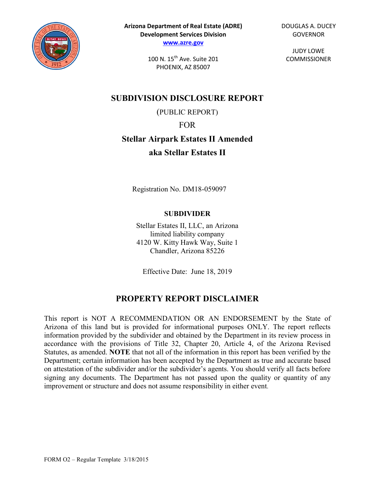

100 N. 15<sup>th</sup> Ave. Suite 201 PHOENIX, AZ 85007

**SUBDIVISION DISCLOSURE REPORT** (PUBLIC REPORT) FOR **Stellar Airpark Estates II Amended**

**aka Stellar Estates II**

Registration No. DM18-059097

## **SUBDIVIDER**

Stellar Estates II, LLC, an Arizona limited liability company 4120 W. Kitty Hawk Way, Suite 1 Chandler, Arizona 85226

Effective Date: June 18, 2019

# **PROPERTY REPORT DISCLAIMER**

This report is NOT A RECOMMENDATION OR AN ENDORSEMENT by the State of Arizona of this land but is provided for informational purposes ONLY. The report reflects information provided by the subdivider and obtained by the Department in its review process in accordance with the provisions of Title 32, Chapter 20, Article 4, of the Arizona Revised Statutes, as amended. **NOTE** that not all of the information in this report has been verified by the Department; certain information has been accepted by the Department as true and accurate based on attestation of the subdivider and/or the subdivider's agents. You should verify all facts before signing any documents. The Department has not passed upon the quality or quantity of any improvement or structure and does not assume responsibility in either event.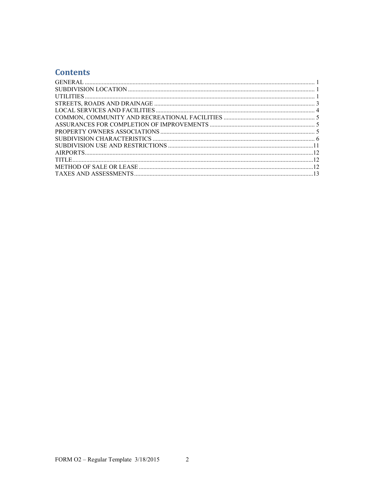# **Contents**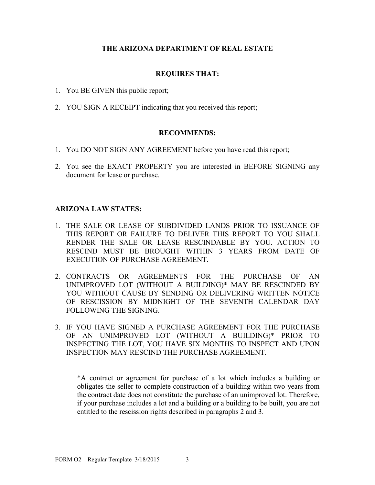### **THE ARIZONA DEPARTMENT OF REAL ESTATE**

#### **REQUIRES THAT:**

- 1. You BE GIVEN this public report;
- 2. YOU SIGN A RECEIPT indicating that you received this report;

#### **RECOMMENDS:**

- 1. You DO NOT SIGN ANY AGREEMENT before you have read this report;
- 2. You see the EXACT PROPERTY you are interested in BEFORE SIGNING any document for lease or purchase.

#### **ARIZONA LAW STATES:**

- 1. THE SALE OR LEASE OF SUBDIVIDED LANDS PRIOR TO ISSUANCE OF THIS REPORT OR FAILURE TO DELIVER THIS REPORT TO YOU SHALL RENDER THE SALE OR LEASE RESCINDABLE BY YOU. ACTION TO RESCIND MUST BE BROUGHT WITHIN 3 YEARS FROM DATE OF EXECUTION OF PURCHASE AGREEMENT.
- 2. CONTRACTS OR AGREEMENTS FOR THE PURCHASE OF AN UNIMPROVED LOT (WITHOUT A BUILDING)\* MAY BE RESCINDED BY YOU WITHOUT CAUSE BY SENDING OR DELIVERING WRITTEN NOTICE OF RESCISSION BY MIDNIGHT OF THE SEVENTH CALENDAR DAY FOLLOWING THE SIGNING.
- 3. IF YOU HAVE SIGNED A PURCHASE AGREEMENT FOR THE PURCHASE OF AN UNIMPROVED LOT (WITHOUT A BUILDING)\* PRIOR TO INSPECTING THE LOT, YOU HAVE SIX MONTHS TO INSPECT AND UPON INSPECTION MAY RESCIND THE PURCHASE AGREEMENT.

\*A contract or agreement for purchase of a lot which includes a building or obligates the seller to complete construction of a building within two years from the contract date does not constitute the purchase of an unimproved lot. Therefore, if your purchase includes a lot and a building or a building to be built, you are not entitled to the rescission rights described in paragraphs 2 and 3.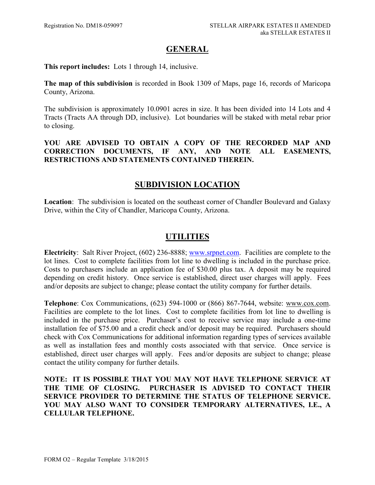## **GENERAL**

<span id="page-3-0"></span>**This report includes:** Lots 1 through 14, inclusive.

**The map of this subdivision** is recorded in Book 1309 of Maps, page 16, records of Maricopa County, Arizona.

The subdivision is approximately 10.0901 acres in size. It has been divided into 14 Lots and 4 Tracts (Tracts AA through DD, inclusive). Lot boundaries will be staked with metal rebar prior to closing.

**YOU ARE ADVISED TO OBTAIN A COPY OF THE RECORDED MAP AND CORRECTION DOCUMENTS, IF ANY, AND NOTE ALL EASEMENTS, RESTRICTIONS AND STATEMENTS CONTAINED THEREIN.**

# **SUBDIVISION LOCATION**

<span id="page-3-2"></span>**Location**: The subdivision is located on the southeast corner of Chandler Boulevard and Galaxy Drive, within the City of Chandler, Maricopa County, Arizona.

# <span id="page-3-1"></span>**UTILITIES**

**Electricity**: Salt River Project, (602) 236-8888; [www.srpnet.com.](http://www.srpnet.com/) Facilities are complete to the lot lines. Cost to complete facilities from lot line to dwelling is included in the purchase price. Costs to purchasers include an application fee of \$30.00 plus tax. A deposit may be required depending on credit history. Once service is established, direct user charges will apply. Fees and/or deposits are subject to change; please contact the utility company for further details.

**Telephone**: Cox Communications, (623) 594-1000 or (866) 867-7644, website: [www.cox.com.](http://www.cox.com/) Facilities are complete to the lot lines. Cost to complete facilities from lot line to dwelling is included in the purchase price. Purchaser's cost to receive service may include a one-time installation fee of \$75.00 and a credit check and/or deposit may be required. Purchasers should check with Cox Communications for additional information regarding types of services available as well as installation fees and monthly costs associated with that service. Once service is established, direct user charges will apply. Fees and/or deposits are subject to change; please contact the utility company for further details.

**NOTE: IT IS POSSIBLE THAT YOU MAY NOT HAVE TELEPHONE SERVICE AT**  PURCHASER IS ADVISED TO CONTACT THEIR **SERVICE PROVIDER TO DETERMINE THE STATUS OF TELEPHONE SERVICE. YOU MAY ALSO WANT TO CONSIDER TEMPORARY ALTERNATIVES, I.E., A CELLULAR TELEPHONE.**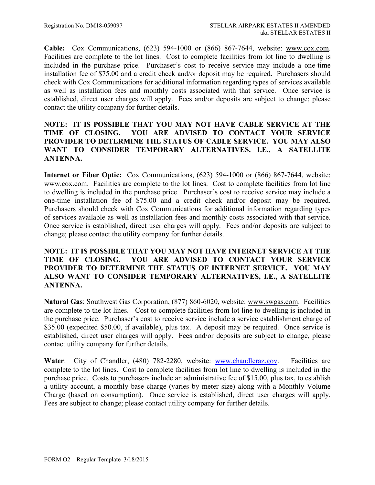**Cable:** Cox Communications, (623) 594-1000 or (866) 867-7644, website: [www.cox.com.](http://www.cox.com/) Facilities are complete to the lot lines. Cost to complete facilities from lot line to dwelling is included in the purchase price. Purchaser's cost to receive service may include a one-time installation fee of \$75.00 and a credit check and/or deposit may be required. Purchasers should check with Cox Communications for additional information regarding types of services available as well as installation fees and monthly costs associated with that service. Once service is established, direct user charges will apply. Fees and/or deposits are subject to change; please contact the utility company for further details.

### **NOTE: IT IS POSSIBLE THAT YOU MAY NOT HAVE CABLE SERVICE AT THE TIME OF CLOSING. YOU ARE ADVISED TO CONTACT YOUR SERVICE PROVIDER TO DETERMINE THE STATUS OF CABLE SERVICE. YOU MAY ALSO WANT TO CONSIDER TEMPORARY ALTERNATIVES, I.E., A SATELLITE ANTENNA.**

**Internet or Fiber Optic:** Cox Communications, (623) 594-1000 or (866) 867-7644, website: [www.cox.com.](http://www.cox.com/) Facilities are complete to the lot lines. Cost to complete facilities from lot line to dwelling is included in the purchase price. Purchaser's cost to receive service may include a one-time installation fee of \$75.00 and a credit check and/or deposit may be required. Purchasers should check with Cox Communications for additional information regarding types of services available as well as installation fees and monthly costs associated with that service. Once service is established, direct user charges will apply. Fees and/or deposits are subject to change; please contact the utility company for further details.

### **NOTE: IT IS POSSIBLE THAT YOU MAY NOT HAVE INTERNET SERVICE AT THE TIME OF CLOSING. YOU ARE ADVISED TO CONTACT YOUR SERVICE PROVIDER TO DETERMINE THE STATUS OF INTERNET SERVICE. YOU MAY ALSO WANT TO CONSIDER TEMPORARY ALTERNATIVES, I.E., A SATELLITE ANTENNA.**

**Natural Gas**: Southwest Gas Corporation, (877) 860-6020, website: [www.swgas.com.](http://www.swgas.com/) Facilities are complete to the lot lines. Cost to complete facilities from lot line to dwelling is included in the purchase price. Purchaser's cost to receive service include a service establishment charge of \$35.00 (expedited \$50.00, if available), plus tax. A deposit may be required. Once service is established, direct user charges will apply. Fees and/or deposits are subject to change, please contact utility company for further details.

Water: City of Chandler, (480) 782-2280, website: [www.chandleraz.gov.](http://www.chandleraz.gov/) Facilities are complete to the lot lines. Cost to complete facilities from lot line to dwelling is included in the purchase price. Costs to purchasers include an administrative fee of \$15.00, plus tax, to establish a utility account, a monthly base charge (varies by meter size) along with a Monthly Volume Charge (based on consumption). Once service is established, direct user charges will apply. Fees are subject to change; please contact utility company for further details.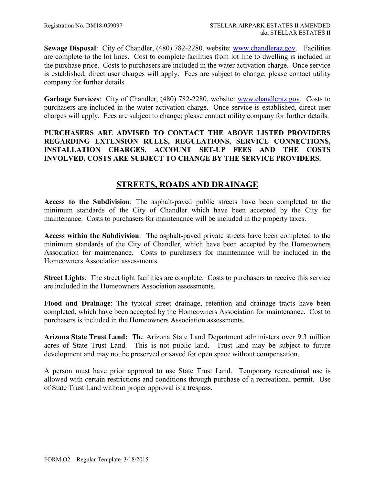**Sewage Disposal**: City of Chandler, (480) 782-2280, website: [www.chandleraz.gov.](http://www.chandleraz.gov/) Facilities are complete to the lot lines. Cost to complete facilities from lot line to dwelling is included in the purchase price. Costs to purchasers are included in the water activation charge. Once service is established, direct user charges will apply. Fees are subject to change; please contact utility company for further details.

**Garbage Services**: City of Chandler, (480) 782-2280, website: [www.chandleraz.gov.](http://www.chandleraz.gov/) Costs to purchasers are included in the water activation charge. Once service is established, direct user charges will apply. Fees are subject to change; please contact utility company for further details.

## **PURCHASERS ARE ADVISED TO CONTACT THE ABOVE LISTED PROVIDERS REGARDING EXTENSION RULES, REGULATIONS, SERVICE CONNECTIONS, INSTALLATION CHARGES, ACCOUNT SET-UP FEES AND THE COSTS INVOLVED. COSTS ARE SUBJECT TO CHANGE BY THE SERVICE PROVIDERS.**

# **STREETS, ROADS AND DRAINAGE**

<span id="page-5-0"></span>**Access to the Subdivision**: The asphalt-paved public streets have been completed to the minimum standards of the City of Chandler which have been accepted by the City for maintenance. Costs to purchasers for maintenance will be included in the property taxes.

**Access within the Subdivision**: The asphalt-paved private streets have been completed to the minimum standards of the City of Chandler, which have been accepted by the Homeowners Association for maintenance. Costs to purchasers for maintenance will be included in the Homeowners Association assessments.

**Street Lights**: The street light facilities are complete. Costs to purchasers to receive this service are included in the Homeowners Association assessments.

**Flood and Drainage**: The typical street drainage, retention and drainage tracts have been completed, which have been accepted by the Homeowners Association for maintenance. Cost to purchasers is included in the Homeowners Association assessments.

**Arizona State Trust Land:** The Arizona State Land Department administers over 9.3 million acres of State Trust Land. This is not public land. Trust land may be subject to future development and may not be preserved or saved for open space without compensation.

A person must have prior approval to use State Trust Land. Temporary recreational use is allowed with certain restrictions and conditions through purchase of a recreational permit. Use of State Trust Land without proper approval is a trespass.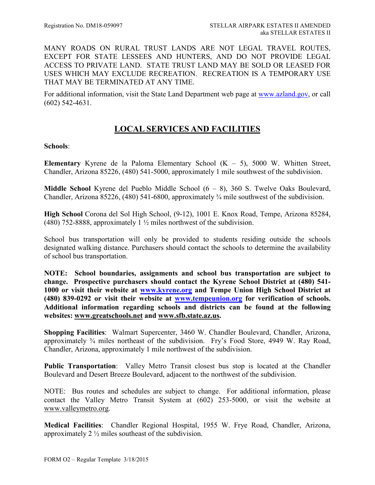MANY ROADS ON RURAL TRUST LANDS ARE NOT LEGAL TRAVEL ROUTES, EXCEPT FOR STATE LESSEES AND HUNTERS, AND DO NOT PROVIDE LEGAL ACCESS TO PRIVATE LAND. STATE TRUST LAND MAY BE SOLD OR LEASED FOR USES WHICH MAY EXCLUDE RECREATION. RECREATION IS A TEMPORARY USE THAT MAY BE TERMINATED AT ANY TIME.

<span id="page-6-0"></span>For additional information, visit the State Land Department web page at [www.azland.gov,](http://www.azland.gov/) or call (602) 542-4631.

# **LOCAL SERVICES AND FACILITIES**

#### **Schools**:

**Elementary** Kyrene de la Paloma Elementary School  $(K - 5)$ , 5000 W. Whitten Street, Chandler, Arizona 85226, (480) 541-5000, approximately 1 mile southwest of the subdivision.

**Middle School** Kyrene del Pueblo Middle School (6 – 8), 360 S. Twelve Oaks Boulevard, Chandler, Arizona 85226, (480) 541-6800, approximately ¾ mile southwest of the subdivision.

**High School** Corona del Sol High School, (9-12), 1001 E. Knox Road, Tempe, Arizona 85284, (480) 752-8888, approximately 1  $\frac{1}{2}$  miles northwest of the subdivision.

School bus transportation will only be provided to students residing outside the schools designated walking distance. Purchasers should contact the schools to determine the availability of school bus transportation.

**NOTE: School boundaries, assignments and school bus transportation are subject to change. Prospective purchasers should contact the Kyrene School District at (480) 541- 1000 or visit their website at [www.kyrene.org](http://www.kyrene.org/) and Tempe Union High School District at (480) 839-0292 or visit their website at [www.tempeunion.org](http://www.tempeunion.org/) for verification of schools. Additional information regarding schools and districts can be found at the following websites: [www.greatschools.net](http://www.greatschools.net/) and [www.sfb.state.az.us.](http://www.sfb.state.az.us/)**

**Shopping Facilities**: Walmart Supercenter, 3460 W. Chandler Boulevard, Chandler, Arizona, approximately ¾ miles northeast of the subdivision. Fry's Food Store, 4949 W. Ray Road, Chandler, Arizona, approximately 1 mile northwest of the subdivision.

**Public Transportation**: Valley Metro Transit closest bus stop is located at the Chandler Boulevard and Desert Breeze Boulevard, adjacent to the northwest of the subdivision.

NOTE: Bus routes and schedules are subject to change. For additional information, please contact the Valley Metro Transit System at (602) 253-5000, or visit the website at [www.valleymetro.org.](http://www.valleymetro.org/)

**Medical Facilities**: Chandler Regional Hospital, 1955 W. Frye Road, Chandler, Arizona, approximately 2 ½ miles southeast of the subdivision.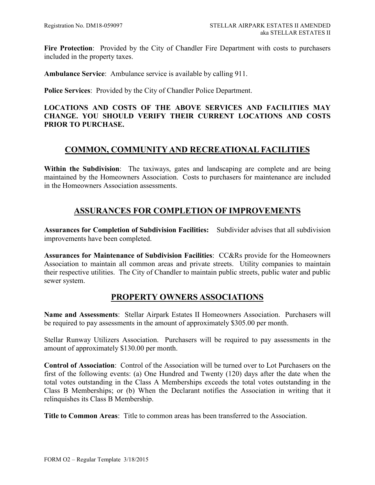Fire Protection: Provided by the City of Chandler Fire Department with costs to purchasers included in the property taxes.

**Ambulance Service**: Ambulance service is available by calling 911.

**Police Services**: Provided by the City of Chandler Police Department.

### **LOCATIONS AND COSTS OF THE ABOVE SERVICES AND FACILITIES MAY CHANGE. YOU SHOULD VERIFY THEIR CURRENT LOCATIONS AND COSTS PRIOR TO PURCHASE.**

## <span id="page-7-0"></span>**COMMON, COMMUNITY AND RECREATIONAL FACILITIES**

**Within the Subdivision**: The taxiways, gates and landscaping are complete and are being maintained by the Homeowners Association. Costs to purchasers for maintenance are included in the Homeowners Association assessments.

## **ASSURANCES FOR COMPLETION OF IMPROVEMENTS**

<span id="page-7-1"></span>**Assurances for Completion of Subdivision Facilities:** Subdivider advises that all subdivision improvements have been completed.

**Assurances for Maintenance of Subdivision Facilities**: CC&Rs provide for the Homeowners Association to maintain all common areas and private streets. Utility companies to maintain their respective utilities. The City of Chandler to maintain public streets, public water and public sewer system.

## **PROPERTY OWNERS ASSOCIATIONS**

<span id="page-7-2"></span>**Name and Assessments**: Stellar Airpark Estates II Homeowners Association. Purchasers will be required to pay assessments in the amount of approximately \$305.00 per month.

Stellar Runway Utilizers Association. Purchasers will be required to pay assessments in the amount of approximately \$130.00 per month.

**Control of Association**: Control of the Association will be turned over to Lot Purchasers on the first of the following events: (a) One Hundred and Twenty (120) days after the date when the total votes outstanding in the Class A Memberships exceeds the total votes outstanding in the Class B Memberships; or (b) When the Declarant notifies the Association in writing that it relinquishes its Class B Membership.

**Title to Common Areas**: Title to common areas has been transferred to the Association.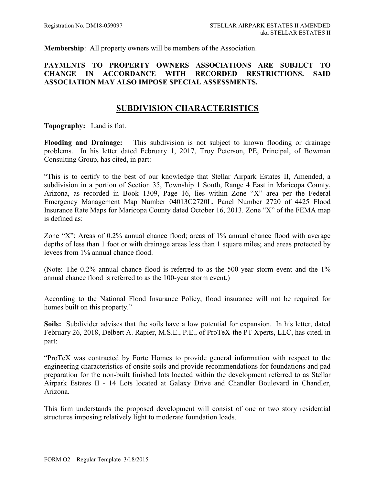**Membership**: All property owners will be members of the Association.

### **PAYMENTS TO PROPERTY OWNERS ASSOCIATIONS ARE SUBJECT TO CHANGE IN ACCORDANCE WITH RECORDED RESTRICTIONS. SAID ASSOCIATION MAY ALSO IMPOSE SPECIAL ASSESSMENTS.**

## **SUBDIVISION CHARACTERISTICS**

<span id="page-8-0"></span>**Topography:** Land is flat.

**Flooding and Drainage:** This subdivision is not subject to known flooding or drainage problems. In his letter dated February 1, 2017, Troy Peterson, PE, Principal, of Bowman Consulting Group, has cited, in part:

"This is to certify to the best of our knowledge that Stellar Airpark Estates II, Amended, a subdivision in a portion of Section 35, Township 1 South, Range 4 East in Maricopa County, Arizona, as recorded in Book 1309, Page 16, lies within Zone "X" area per the Federal Emergency Management Map Number 04013C2720L, Panel Number 2720 of 4425 Flood Insurance Rate Maps for Maricopa County dated October 16, 2013. Zone "X" of the FEMA map is defined as:

Zone "X": Areas of 0.2% annual chance flood; areas of 1% annual chance flood with average depths of less than 1 foot or with drainage areas less than 1 square miles; and areas protected by levees from 1% annual chance flood.

(Note: The 0.2% annual chance flood is referred to as the 500-year storm event and the 1% annual chance flood is referred to as the 100-year storm event.)

According to the National Flood Insurance Policy, flood insurance will not be required for homes built on this property."

**Soils:** Subdivider advises that the soils have a low potential for expansion.In his letter, dated February 26, 2018, Delbert A. Rapier, M.S.E., P.E., of ProTeX-the PT Xperts, LLC, has cited, in part:

"ProTeX was contracted by Forte Homes to provide general information with respect to the engineering characteristics of onsite soils and provide recommendations for foundations and pad preparation for the non-built finished lots located within the development referred to as Stellar Airpark Estates II - 14 Lots located at Galaxy Drive and Chandler Boulevard in Chandler, Arizona.

This firm understands the proposed development will consist of one or two story residential structures imposing relatively light to moderate foundation loads.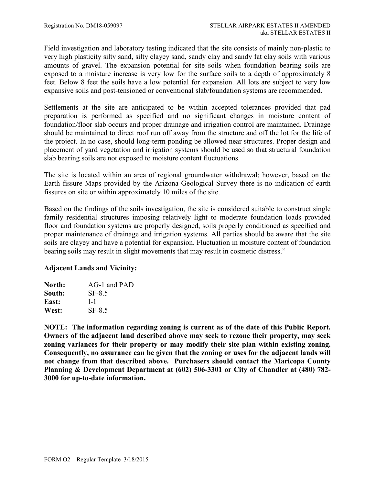Field investigation and laboratory testing indicated that the site consists of mainly non-plastic to very high plasticity silty sand, silty clayey sand, sandy clay and sandy fat clay soils with various amounts of gravel. The expansion potential for site soils when foundation bearing soils are exposed to a moisture increase is very low for the surface soils to a depth of approximately 8 feet. Below 8 feet the soils have a low potential for expansion. All lots are subject to very low expansive soils and post-tensioned or conventional slab/foundation systems are recommended.

Settlements at the site are anticipated to be within accepted tolerances provided that pad preparation is performed as specified and no significant changes in moisture content of foundation/floor slab occurs and proper drainage and irrigation control are maintained. Drainage should be maintained to direct roof run off away from the structure and off the lot for the life of the project. In no case, should long-term ponding be allowed near structures. Proper design and placement of yard vegetation and irrigation systems should be used so that structural foundation slab bearing soils are not exposed to moisture content fluctuations.

The site is located within an area of regional groundwater withdrawal; however, based on the Earth fissure Maps provided by the Arizona Geological Survey there is no indication of earth fissures on site or within approximately 10 miles of the site.

Based on the findings of the soils investigation, the site is considered suitable to construct single family residential structures imposing relatively light to moderate foundation loads provided floor and foundation systems are properly designed, soils properly conditioned as specified and proper maintenance of drainage and irrigation systems. All parties should be aware that the site soils are clayey and have a potential for expansion. Fluctuation in moisture content of foundation bearing soils may result in slight movements that may result in cosmetic distress."

## **Adjacent Lands and Vicinity:**

| North: | AG-1 and PAD  |
|--------|---------------|
| South: | SF-8.5        |
| East:  | $L_1$         |
| West:  | <b>SF-8.5</b> |

**NOTE: The information regarding zoning is current as of the date of this Public Report. Owners of the adjacent land described above may seek to rezone their property, may seek zoning variances for their property or may modify their site plan within existing zoning. Consequently, no assurance can be given that the zoning or uses for the adjacent lands will not change from that described above. Purchasers should contact the Maricopa County Planning & Development Department at (602) 506-3301 or City of Chandler at (480) 782- 3000 for up-to-date information.**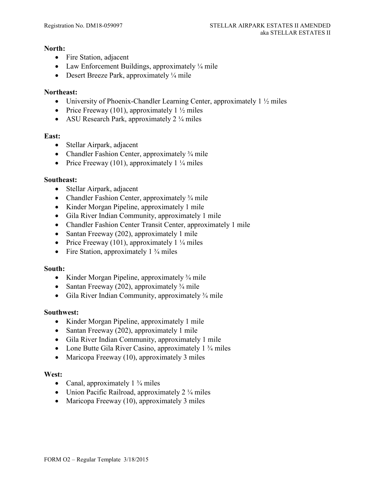#### **North:**

- Fire Station, adjacent
- Law Enforcement Buildings, approximately  $\frac{1}{4}$  mile
- Desert Breeze Park, approximately  $\frac{1}{4}$  mile

### **Northeast:**

- University of Phoenix-Chandler Learning Center, approximately  $1\frac{1}{2}$  miles
- Price Freeway (101), approximately  $1\frac{1}{2}$  miles
- ASU Research Park, approximately  $2\frac{1}{4}$  miles

## **East:**

- Stellar Airpark, adjacent
- Chandler Fashion Center, approximately  $\frac{3}{4}$  mile
- Price Freeway (101), approximately  $1\frac{1}{4}$  miles

### **Southeast:**

- Stellar Airpark, adjacent
- Chandler Fashion Center, approximately <sup>3</sup>/4 mile
- Kinder Morgan Pipeline, approximately 1 mile
- Gila River Indian Community, approximately 1 mile
- Chandler Fashion Center Transit Center, approximately 1 mile
- Santan Freeway (202), approximately 1 mile
- Price Freeway (101), approximately  $1\frac{1}{4}$  miles
- Fire Station, approximately  $1\frac{3}{4}$  miles

#### **South:**

- Kinder Morgan Pipeline, approximately <sup>3</sup>/4 mile
- Santan Freeway (202), approximately  $\frac{3}{4}$  mile
- Gila River Indian Community, approximately <sup>3</sup>/4 mile

#### **Southwest:**

- Kinder Morgan Pipeline, approximately 1 mile
- Santan Freeway (202), approximately 1 mile
- Gila River Indian Community, approximately 1 mile
- Lone Butte Gila River Casino, approximately 1 <sup>3</sup>/<sub>4</sub> miles
- Maricopa Freeway (10), approximately 3 miles

#### **West:**

- Canal, approximately  $1\frac{3}{4}$  miles
- Union Pacific Railroad, approximately  $2\frac{1}{4}$  miles
- Maricopa Freeway (10), approximately 3 miles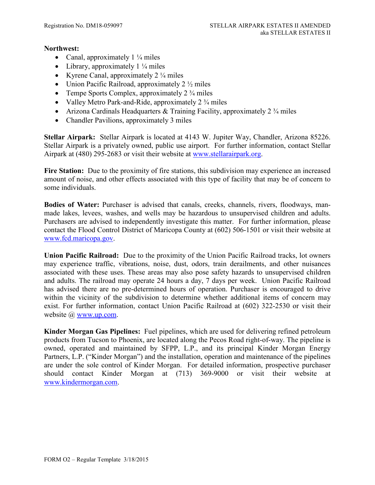### **Northwest:**

- Canal, approximately  $1\frac{1}{4}$  miles
- Library, approximately  $1\frac{1}{4}$  miles
- Kyrene Canal, approximately  $2\frac{1}{4}$  miles
- Union Pacific Railroad, approximately  $2\frac{1}{2}$  miles
- Tempe Sports Complex, approximately  $2\frac{3}{4}$  miles
- Valley Metro Park-and-Ride, approximately  $2\frac{3}{4}$  miles
- Arizona Cardinals Headquarters & Training Facility, approximately  $2\frac{3}{4}$  miles
- Chandler Pavilions, approximately 3 miles

**Stellar Airpark:** Stellar Airpark is located at 4143 W. Jupiter Way, Chandler, Arizona 85226. Stellar Airpark is a privately owned, public use airport. For further information, contact Stellar Airpark at (480) 295-2683 or visit their website at [www.stellarairpark.org.](http://www.stellarairpark.org/)

Fire Station: Due to the proximity of fire stations, this subdivision may experience an increased amount of noise, and other effects associated with this type of facility that may be of concern to some individuals.

**Bodies of Water:** Purchaser is advised that canals, creeks, channels, rivers, floodways, manmade lakes, levees, washes, and wells may be hazardous to unsupervised children and adults. Purchasers are advised to independently investigate this matter. For further information, please contact the Flood Control District of Maricopa County at (602) 506-1501 or visit their website at [www.fcd.maricopa.gov.](http://www.fcd.maricopa.gov/)

**Union Pacific Railroad:**Due to the proximity of the Union Pacific Railroad tracks, lot owners may experience traffic, vibrations, noise, dust, odors, train derailments, and other nuisances associated with these uses. These areas may also pose safety hazards to unsupervised children and adults. The railroad may operate 24 hours a day, 7 days per week. Union Pacific Railroad has advised there are no pre-determined hours of operation. Purchaser is encouraged to drive within the vicinity of the subdivision to determine whether additional items of concern may exist. For further information, contact Union Pacific Railroad at (602) 322-2530 or visit their website @ [www.up.com.](http://www.up.com/)

**Kinder Morgan Gas Pipelines:** Fuel pipelines, which are used for delivering refined petroleum products from Tucson to Phoenix, are located along the Pecos Road right-of-way. The pipeline is owned, operated and maintained by SFPP, L.P., and its principal Kinder Morgan Energy Partners, L.P. ("Kinder Morgan") and the installation, operation and maintenance of the pipelines are under the sole control of Kinder Morgan. For detailed information, prospective purchaser should contact Kinder Morgan at (713) 369-9000 or visit their website at [www.kindermorgan.com.](http://www.kindermorgan.com/)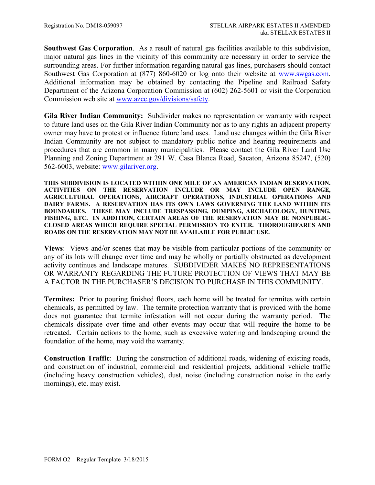**Southwest Gas Corporation**. As a result of natural gas facilities available to this subdivision, major natural gas lines in the vicinity of this community are necessary in order to service the surrounding areas. For further information regarding natural gas lines, purchasers should contact Southwest Gas Corporation at (877) 860-6020 or log onto their website at [www.swgas.com.](http://www.swgas.com/) Additional information may be obtained by contacting the Pipeline and Railroad Safety Department of the Arizona Corporation Commission at (602) 262-5601 or visit the Corporation Commission web site at [www.azcc.gov/divisions/safety.](http://www.azcc.gov/divisions/safety)

**Gila River Indian Community:** Subdivider makes no representation or warranty with respect to future land uses on the Gila River Indian Community nor as to any rights an adjacent property owner may have to protest or influence future land uses. Land use changes within the Gila River Indian Community are not subject to mandatory public notice and hearing requirements and procedures that are common in many municipalities. Please contact the Gila River Land Use Planning and Zoning Department at 291 W. Casa Blanca Road, Sacaton, Arizona 85247, (520) 562-6003, website: [www.gilariver.org.](http://www.gilariver.org/)

**THIS SUBDIVISION IS LOCATED WITHIN ONE MILE OF AN AMERICAN INDIAN RESERVATION. ACTIVITIES ON THE RESERVATION INCLUDE OR MAY INCLUDE OPEN RANGE, AGRICULTURAL OPERATIONS, AIRCRAFT OPERATIONS, INDUSTRIAL OPERATIONS AND DAIRY FARMS. A RESERVATION HAS ITS OWN LAWS GOVERNING THE LAND WITHIN ITS BOUNDARIES. THESE MAY INCLUDE TRESPASSING, DUMPING, ARCHAEOLOGY, HUNTING, FISHING, ETC. IN ADDITION, CERTAIN AREAS OF THE RESERVATION MAY BE NONPUBLIC-CLOSED AREAS WHICH REQUIRE SPECIAL PERMISSION TO ENTER. THOROUGHFARES AND ROADS ON THE RESERVATION MAY NOT BE AVAILABLE FOR PUBLIC USE.**

**Views**: Views and/or scenes that may be visible from particular portions of the community or any of its lots will change over time and may be wholly or partially obstructed as development activity continues and landscape matures. SUBDIVIDER MAKES NO REPRESENTATIONS OR WARRANTY REGARDING THE FUTURE PROTECTION OF VIEWS THAT MAY BE A FACTOR IN THE PURCHASER'S DECISION TO PURCHASE IN THIS COMMUNITY.

**Termites:** Prior to pouring finished floors, each home will be treated for termites with certain chemicals, as permitted by law. The termite protection warranty that is provided with the home does not guarantee that termite infestation will not occur during the warranty period. The chemicals dissipate over time and other events may occur that will require the home to be retreated. Certain actions to the home, such as excessive watering and landscaping around the foundation of the home, may void the warranty.

**Construction Traffic**: During the construction of additional roads, widening of existing roads, and construction of industrial, commercial and residential projects, additional vehicle traffic (including heavy construction vehicles), dust, noise (including construction noise in the early mornings), etc. may exist.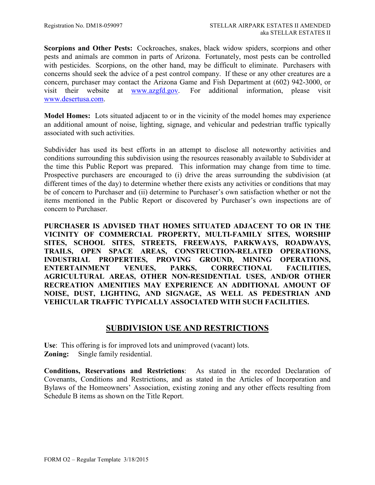**Scorpions and Other Pests:** Cockroaches, snakes, black widow spiders, scorpions and other pests and animals are common in parts of Arizona. Fortunately, most pests can be controlled with pesticides. Scorpions, on the other hand, may be difficult to eliminate. Purchasers with concerns should seek the advice of a pest control company. If these or any other creatures are a concern, purchaser may contact the Arizona Game and Fish Department at (602) 942-3000, or visit their website at [www.azgfd.gov.](http://www.azgfd.gov/) For additional information, please visit [www.desertusa.com.](http://www.desertusa.com/)

**Model Homes:** Lots situated adjacent to or in the vicinity of the model homes may experience an additional amount of noise, lighting, signage, and vehicular and pedestrian traffic typically associated with such activities.

Subdivider has used its best efforts in an attempt to disclose all noteworthy activities and conditions surrounding this subdivision using the resources reasonably available to Subdivider at the time this Public Report was prepared. This information may change from time to time. Prospective purchasers are encouraged to (i) drive the areas surrounding the subdivision (at different times of the day) to determine whether there exists any activities or conditions that may be of concern to Purchaser and (ii) determine to Purchaser's own satisfaction whether or not the items mentioned in the Public Report or discovered by Purchaser's own inspections are of concern to Purchaser.

**PURCHASER IS ADVISED THAT HOMES SITUATED ADJACENT TO OR IN THE VICINITY OF COMMERCIAL PROPERTY, MULTI-FAMILY SITES, WORSHIP SITES, SCHOOL SITES, STREETS, FREEWAYS, PARKWAYS, ROADWAYS, TRAILS, OPEN SPACE AREAS, CONSTRUCTION-RELATED OPERATIONS, INDUSTRIAL PROPERTIES, PROVING GROUND, MINING OPERATIONS, ENTERTAINMENT VENUES, PARKS, CORRECTIONAL FACILITIES, AGRICULTURAL AREAS, OTHER NON-RESIDENTIAL USES, AND/OR OTHER RECREATION AMENITIES MAY EXPERIENCE AN ADDITIONAL AMOUNT OF NOISE, DUST, LIGHTING, AND SIGNAGE, AS WELL AS PEDESTRIAN AND VEHICULAR TRAFFIC TYPICALLY ASSOCIATED WITH SUCH FACILITIES.**

## **SUBDIVISION USE AND RESTRICTIONS**

<span id="page-13-0"></span>**Use**: This offering is for improved lots and unimproved (vacant) lots. **Zoning:** Single family residential.

**Conditions, Reservations and Restrictions**: As stated in the recorded Declaration of Covenants, Conditions and Restrictions, and as stated in the Articles of Incorporation and Bylaws of the Homeowners' Association, existing zoning and any other effects resulting from Schedule B items as shown on the Title Report.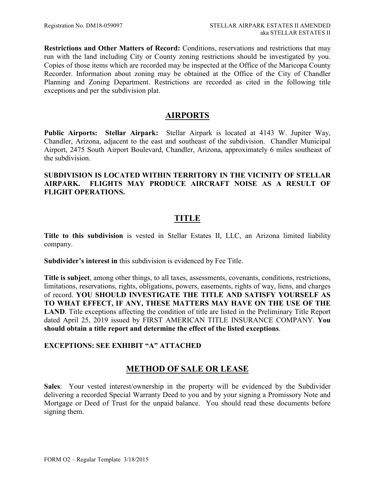**Restrictions and Other Matters of Record:** Conditions, reservations and restrictions that may run with the land including City or County zoning restrictions should be investigated by you. Copies of those items which are recorded may be inspected at the Office of the Maricopa County Recorder. Information about zoning may be obtained at the Office of the City of Chandler Planning and Zoning Department. Restrictions are recorded as cited in the following title exceptions and per the subdivision plat.

## <span id="page-14-0"></span>**AIRPORTS**

**Public Airports: Stellar Airpark:** Stellar Airpark is located at 4143 W. Jupiter Way, Chandler, Arizona, adjacent to the east and southeast of the subdivision. Chandler Municipal Airport, 2475 South Airport Boulevard, Chandler, Arizona, approximately 6 miles southeast of the subdivision.

### **SUBDIVISION IS LOCATED WITHIN TERRITORY IN THE VICINITY OF STELLAR AIRPARK. FLIGHTS MAY PRODUCE AIRCRAFT NOISE AS A RESULT OF FLIGHT OPERATIONS.**

# **TITLE**

<span id="page-14-1"></span>**Title to this subdivision** is vested in Stellar Estates II, LLC, an Arizona limited liability company.

**Subdivider's interest in** this subdivision is evidenced by Fee Title.

**Title is subject**, among other things, to all taxes, assessments, covenants, conditions, restrictions, limitations, reservations, rights, obligations, powers, easements, rights of way, liens, and charges of record. **YOU SHOULD INVESTIGATE THE TITLE AND SATISFY YOURSELF AS TO WHAT EFFECT, IF ANY, THESE MATTERS MAY HAVE ON THE USE OF THE LAND**. Title exceptions affecting the condition of title are listed in the Preliminary Title Report dated April 25, 2019 issued by FIRST AMERICAN TITLE INSURANCE COMPANY. **You should obtain a title report and determine the effect of the listed exceptions**.

## **EXCEPTIONS: SEE EXHIBIT "A" ATTACHED**

## <span id="page-14-2"></span>**METHOD OF SALE OR LEASE**

**Sales**: Your vested interest/ownership in the property will be evidenced by the Subdivider delivering a recorded Special Warranty Deed to you and by your signing a Promissory Note and Mortgage or Deed of Trust for the unpaid balance. You should read these documents before signing them.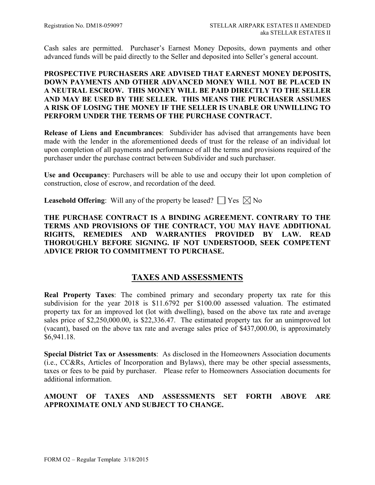Cash sales are permitted. Purchaser's Earnest Money Deposits, down payments and other advanced funds will be paid directly to the Seller and deposited into Seller's general account.

## **PROSPECTIVE PURCHASERS ARE ADVISED THAT EARNEST MONEY DEPOSITS, DOWN PAYMENTS AND OTHER ADVANCED MONEY WILL NOT BE PLACED IN A NEUTRAL ESCROW. THIS MONEY WILL BE PAID DIRECTLY TO THE SELLER AND MAY BE USED BY THE SELLER. THIS MEANS THE PURCHASER ASSUMES A RISK OF LOSING THE MONEY IF THE SELLER IS UNABLE OR UNWILLING TO PERFORM UNDER THE TERMS OF THE PURCHASE CONTRACT.**

**Release of Liens and Encumbrances**: Subdivider has advised that arrangements have been made with the lender in the aforementioned deeds of trust for the release of an individual lot upon completion of all payments and performance of all the terms and provisions required of the purchaser under the purchase contract between Subdivider and such purchaser.

**Use and Occupancy**: Purchasers will be able to use and occupy their lot upon completion of construction, close of escrow, and recordation of the deed.

**Leasehold Offering**: Will any of the property be leased?  $\Box$  Yes  $\boxtimes$  No

**THE PURCHASE CONTRACT IS A BINDING AGREEMENT. CONTRARY TO THE TERMS AND PROVISIONS OF THE CONTRACT, YOU MAY HAVE ADDITIONAL RIGHTS, REMEDIES AND WARRANTIES PROVIDED BY LAW. READ THOROUGHLY BEFORE SIGNING. IF NOT UNDERSTOOD, SEEK COMPETENT ADVICE PRIOR TO COMMITMENT TO PURCHASE.**

## <span id="page-15-0"></span>**TAXES AND ASSESSMENTS**

**Real Property Taxes**: The combined primary and secondary property tax rate for this subdivision for the year 2018 is \$11.6792 per \$100.00 assessed valuation. The estimated property tax for an improved lot (lot with dwelling), based on the above tax rate and average sales price of \$2,250,000.00, is \$22,336.47. The estimated property tax for an unimproved lot (vacant), based on the above tax rate and average sales price of \$437,000.00, is approximately \$6,941.18.

**Special District Tax or Assessments**: As disclosed in the Homeowners Association documents (i.e., CC&Rs, Articles of Incorporation and Bylaws), there may be other special assessments, taxes or fees to be paid by purchaser. Please refer to Homeowners Association documents for additional information.

## **AMOUNT OF TAXES AND ASSESSMENTS SET FORTH ABOVE ARE APPROXIMATE ONLY AND SUBJECT TO CHANGE.**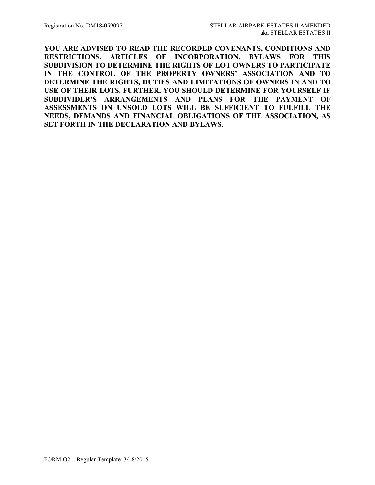**YOU ARE ADVISED TO READ THE RECORDED COVENANTS, CONDITIONS AND RESTRICTIONS, ARTICLES OF INCORPORATION, BYLAWS FOR THIS SUBDIVISION TO DETERMINE THE RIGHTS OF LOT OWNERS TO PARTICIPATE IN THE CONTROL OF THE PROPERTY OWNERS' ASSOCIATION AND TO DETERMINE THE RIGHTS, DUTIES AND LIMITATIONS OF OWNERS IN AND TO USE OF THEIR LOTS. FURTHER, YOU SHOULD DETERMINE FOR YOURSELF IF SUBDIVIDER'S ARRANGEMENTS AND PLANS FOR THE PAYMENT OF ASSESSMENTS ON UNSOLD LOTS WILL BE SUFFICIENT TO FULFILL THE NEEDS, DEMANDS AND FINANCIAL OBLIGATIONS OF THE ASSOCIATION, AS SET FORTH IN THE DECLARATION AND BYLAWS.**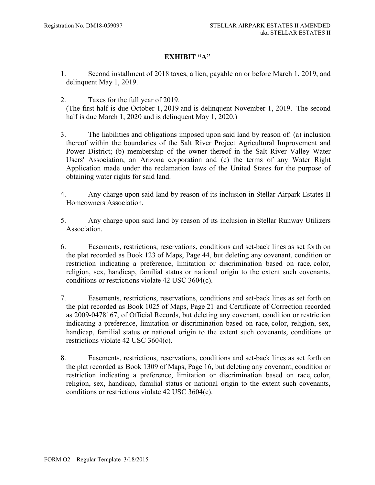## **EXHIBIT "A"**

- 1. Second installment of 2018 taxes, a lien, payable on or before March 1, 2019, and delinquent May 1, 2019.
- 2. Taxes for the full year of 2019.

(The first half is due October 1, 2019 and is delinquent November 1, 2019. The second half is due March 1, 2020 and is delinguent May 1, 2020.)

- 3. The liabilities and obligations imposed upon said land by reason of: (a) inclusion thereof within the boundaries of the Salt River Project Agricultural Improvement and Power District; (b) membership of the owner thereof in the Salt River Valley Water Users' Association, an Arizona corporation and (c) the terms of any Water Right Application made under the reclamation laws of the United States for the purpose of obtaining water rights for said land.
- 4. Any charge upon said land by reason of its inclusion in Stellar Airpark Estates II Homeowners Association.
- 5. Any charge upon said land by reason of its inclusion in Stellar Runway Utilizers Association.
- 6. Easements, restrictions, reservations, conditions and set-back lines as set forth on the plat recorded as Book 123 of Maps, Page 44, but deleting any covenant, condition or restriction indicating a preference, limitation or discrimination based on race, color, religion, sex, handicap, familial status or national origin to the extent such covenants, conditions or restrictions violate 42 USC 3604(c).
- 7. Easements, restrictions, reservations, conditions and set-back lines as set forth on the plat recorded as Book 1025 of Maps, Page 21 and Certificate of Correction recorded as 2009-0478167, of Official Records, but deleting any covenant, condition or restriction indicating a preference, limitation or discrimination based on race, color, religion, sex, handicap, familial status or national origin to the extent such covenants, conditions or restrictions violate 42 USC 3604(c).
- 8. Easements, restrictions, reservations, conditions and set-back lines as set forth on the plat recorded as Book 1309 of Maps, Page 16, but deleting any covenant, condition or restriction indicating a preference, limitation or discrimination based on race, color, religion, sex, handicap, familial status or national origin to the extent such covenants, conditions or restrictions violate 42 USC 3604(c).